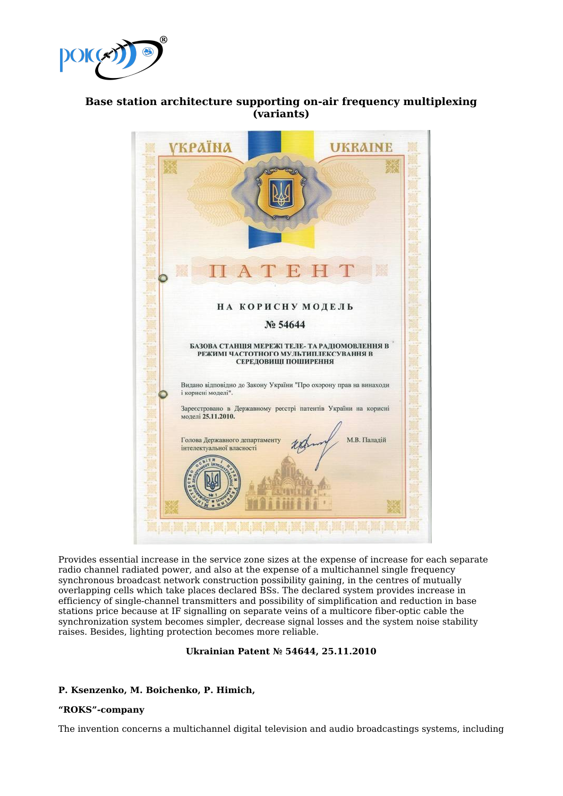

# **Base station architecture supporting on-air frequency multiplexing (variants)**

Provides essential increase in the service zone sizes at the expense of increase for each separate radio channel radiated power, and also at the expense of a multichannel single frequency synchronous broadcast network construction possibility gaining, in the centres of mutually overlapping cells which take places declared BSs. The declared system provides increase in efficiency of single-channel transmitters and possibility of simplification and reduction in base stations price because at IF signalling on separate veins of a multicore fiber-optic cable the synchronization system becomes simpler, decrease signal losses and the system noise stability raises. Besides, lighting protection becomes more reliable.

# **Ukrainian Patent № 54644, 25.11.2010**

# **P. Ksenzenko, M. Boichenko, P. Himich,**

# **"ROKS"-company**

The invention concerns a multichannel digital television and audio broadcastings systems, including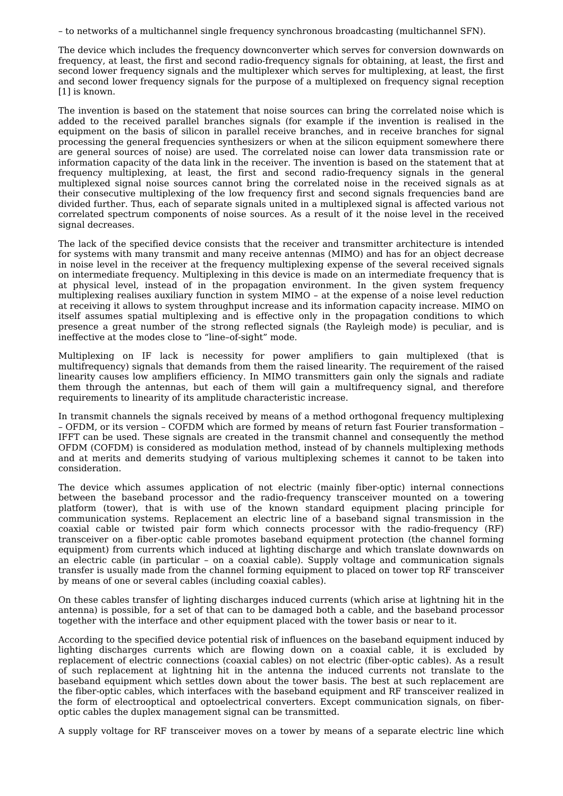– to networks of a multichannel single frequency synchronous broadcasting (multichannel SFN).

The device which includes the frequency downconverter which serves for conversion downwards on frequency, at least, the first and second radio-frequency signals for obtaining, at least, the first and second lower frequency signals and the multiplexer which serves for multiplexing, at least, the first and second lower frequency signals for the purpose of a multiplexed on frequency signal reception [1] is known.

The invention is based on the statement that noise sources can bring the correlated noise which is added to the received parallel branches signals (for example if the invention is realised in the equipment on the basis of silicon in parallel receive branches, and in receive branches for signal processing the general frequencies synthesizers or when at the silicon equipment somewhere there are general sources of noise) are used. The correlated noise can lower data transmission rate or information capacity of the data link in the receiver. The invention is based on the statement that at frequency multiplexing, at least, the first and second radio-frequency signals in the general multiplexed signal noise sources cannot bring the correlated noise in the received signals as at their consecutive multiplexing of the low frequency first and second signals frequencies band are divided further. Thus, each of separate signals united in a multiplexed signal is affected various not correlated spectrum components of noise sources. As a result of it the noise level in the received signal decreases.

The lack of the specified device consists that the receiver and transmitter architecture is intended for systems with many transmit and many receive antennas (MIMO) and has for an object decrease in noise level in the receiver at the frequency multiplexing expense of the several received signals on intermediate frequency. Multiplexing in this device is made on an intermediate frequency that is at physical level, instead of in the propagation environment. In the given system frequency multiplexing realises auxiliary function in system MIMO – at the expense of a noise level reduction at receiving it allows to system throughput increase and its information capacity increase. MIMO on itself assumes spatial multiplexing and is effective only in the propagation conditions to which presence a great number of the strong reflected signals (the Rayleigh mode) is peculiar, and is ineffective at the modes close to "line–of-sight" mode.

Multiplexing on IF lack is necessity for power amplifiers to gain multiplexed (that is multifrequency) signals that demands from them the raised linearity. The requirement of the raised linearity causes low amplifiers efficiency. In MIMO transmitters gain only the signals and radiate them through the antennas, but each of them will gain a multifrequency signal, and therefore requirements to linearity of its amplitude characteristic increase.

In transmit channels the signals received by means of a method orthogonal frequency multiplexing – OFDM, or its version – COFDM which are formed by means of return fast Fourier transformation – IFFT can be used. These signals are created in the transmit channel and consequently the method OFDM (COFDM) is considered as modulation method, instead of by channels multiplexing methods and at merits and demerits studying of various multiplexing schemes it cannot to be taken into consideration.

The device which assumes application of not electric (mainly fiber-optic) internal connections between the baseband processor and the radio-frequency transceiver mounted on a towering platform (tower), that is with use of the known standard equipment placing principle for communication systems. Replacement an electric line of a baseband signal transmission in the coaxial cable or twisted pair form which connects processor with the radio-frequency (RF) transceiver on a fiber-optic cable promotes baseband equipment protection (the channel forming equipment) from currents which induced at lighting discharge and which translate downwards on an electric cable (in particular – on a coaxial cable). Supply voltage and communication signals transfer is usually made from the channel forming equipment to placed on tower top RF transceiver by means of one or several cables (including coaxial cables).

On these cables transfer of lighting discharges induced currents (which arise at lightning hit in the antenna) is possible, for a set of that can to be damaged both a cable, and the baseband processor together with the interface and other equipment placed with the tower basis or near to it.

According to the specified device potential risk of influences on the baseband equipment induced by lighting discharges currents which are flowing down on a coaxial cable, it is excluded by replacement of electric connections (coaxial cables) on not electric (fiber-optic cables). As a result of such replacement at lightning hit in the antenna the induced currents not translate to the baseband equipment which settles down about the tower basis. The best at such replacement are the fiber-optic cables, which interfaces with the baseband equipment and RF transceiver realized in the form of electrooptical and optoelectrical converters. Except communication signals, on fiberoptic cables the duplex management signal can be transmitted.

A supply voltage for RF transceiver moves on a tower by means of a separate electric line which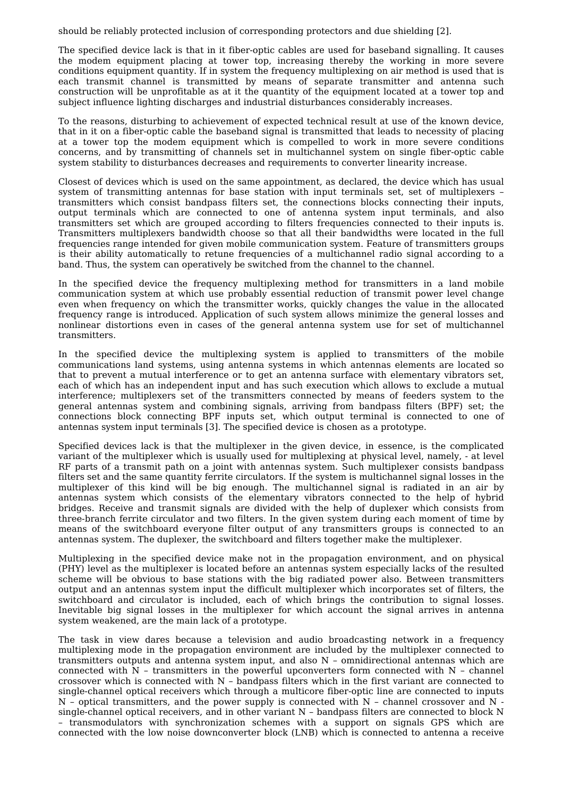should be reliably protected inclusion of corresponding protectors and due shielding [2].

The specified device lack is that in it fiber-optic cables are used for baseband signalling. It causes the modem equipment placing at tower top, increasing thereby the working in more severe conditions equipment quantity. If in system the frequency multiplexing on air method is used that is each transmit channel is transmitted by means of separate transmitter and antenna such construction will be unprofitable as at it the quantity of the equipment located at a tower top and subject influence lighting discharges and industrial disturbances considerably increases.

To the reasons, disturbing to achievement of expected technical result at use of the known device, that in it on a fiber-optic cable the baseband signal is transmitted that leads to necessity of placing at a tower top the modem equipment which is compelled to work in more severe conditions concerns, and by transmitting of channels set in multichannel system on single fiber-optic cable system stability to disturbances decreases and requirements to converter linearity increase.

Closest of devices which is used on the same appointment, as declared, the device which has usual system of transmitting antennas for base station with input terminals set, set of multiplexers – transmitters which consist bandpass filters set, the connections blocks connecting their inputs, output terminals which are connected to one of antenna system input terminals, and also transmitters set which are grouped according to filters frequencies connected to their inputs is. Transmitters multiplexers bandwidth choose so that all their bandwidths were located in the full frequencies range intended for given mobile communication system. Feature of transmitters groups is their ability automatically to retune frequencies of a multichannel radio signal according to a band. Thus, the system can operatively be switched from the channel to the channel.

In the specified device the frequency multiplexing method for transmitters in a land mobile communication system at which use probably essential reduction of transmit power level change even when frequency on which the transmitter works, quickly changes the value in the allocated frequency range is introduced. Application of such system allows minimize the general losses and nonlinear distortions even in cases of the general antenna system use for set of multichannel transmitters.

In the specified device the multiplexing system is applied to transmitters of the mobile communications land systems, using antenna systems in which antennas elements are located so that to prevent a mutual interference or to get an antenna surface with elementary vibrators set, each of which has an independent input and has such execution which allows to exclude a mutual interference; multiplexers set of the transmitters connected by means of feeders system to the general antennas system and combining signals, arriving from bandpass filters (BPF) set; the connections block connecting BPF inputs set, which output terminal is connected to one of antennas system input terminals [3]. The specified device is chosen as a prototype.

Specified devices lack is that the multiplexer in the given device, in essence, is the complicated variant of the multiplexer which is usually used for multiplexing at physical level, namely, - at level RF parts of a transmit path on a joint with antennas system. Such multiplexer consists bandpass filters set and the same quantity ferrite circulators. If the system is multichannel signal losses in the multiplexer of this kind will be big enough. The multichannel signal is radiated in an air by antennas system which consists of the elementary vibrators connected to the help of hybrid bridges. Receive and transmit signals are divided with the help of duplexer which consists from three-branch ferrite circulator and two filters. In the given system during each moment of time by means of the switchboard everyone filter output of any transmitters groups is connected to an antennas system. The duplexer, the switchboard and filters together make the multiplexer.

Multiplexing in the specified device make not in the propagation environment, and on physical (PHY) level as the multiplexer is located before an antennas system especially lacks of the resulted scheme will be obvious to base stations with the big radiated power also. Between transmitters output and an antennas system input the difficult multiplexer which incorporates set of filters, the switchboard and circulator is included, each of which brings the contribution to signal losses. Inevitable big signal losses in the multiplexer for which account the signal arrives in antenna system weakened, are the main lack of a prototype.

The task in view dares because a television and audio broadcasting network in a frequency multiplexing mode in the propagation environment are included by the multiplexer connected to transmitters outputs and antenna system input, and also N – omnidirectional antennas which are connected with N – transmitters in the powerful upconverters form connected with N – channel crossover which is connected with N – bandpass filters which in the first variant are connected to single-channel optical receivers which through a multicore fiber-optic line are connected to inputs  $N$  – optical transmitters, and the power supply is connected with N – channel crossover and N single-channel optical receivers, and in other variant N – bandpass filters are connected to block N – transmodulators with synchronization schemes with a support on signals GPS which are connected with the low noise downconverter block (LNB) which is connected to antenna a receive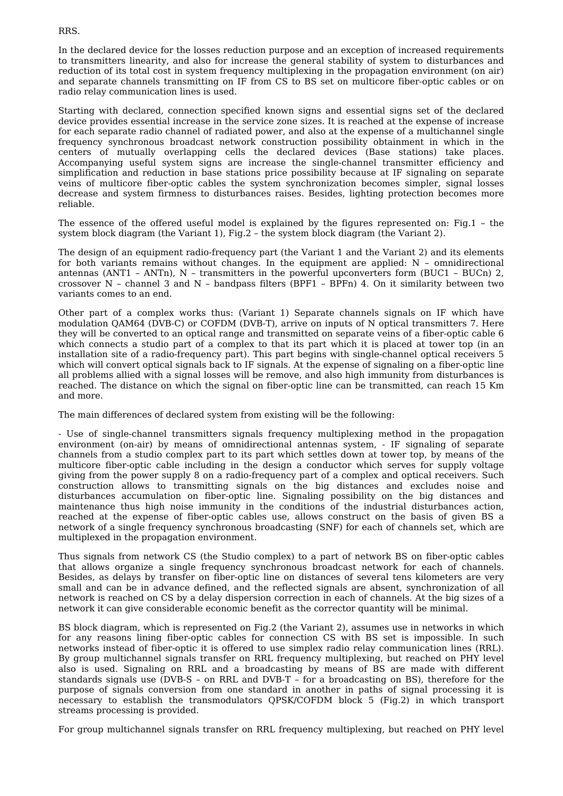#### RRS.

In the declared device for the losses reduction purpose and an exception of increased requirements to transmitters linearity, and also for increase the general stability of system to disturbances and reduction of its total cost in system frequency multiplexing in the propagation environment (on air) and separate channels transmitting on IF from CS to BS set on multicore fiber-optic cables or on radio relay communication lines is used.

Starting with declared, connection specified known signs and essential signs set of the declared device provides essential increase in the service zone sizes. It is reached at the expense of increase for each separate radio channel of radiated power, and also at the expense of a multichannel single frequency synchronous broadcast network construction possibility obtainment in which in the centers of mutually overlapping cells the declared devices (Base stations) take places. Accompanying useful system signs are increase the single-channel transmitter efficiency and simplification and reduction in base stations price possibility because at IF signaling on separate veins of multicore fiber-optic cables the system synchronization becomes simpler, signal losses decrease and system firmness to disturbances raises. Besides, lighting protection becomes more reliable.

The essence of the offered useful model is explained by the figures represented on: Fig.1 – the system block diagram (the Variant 1), Fig.2 – the system block diagram (the Variant 2).

The design of an equipment radio-frequency part (the Variant 1 and the Variant 2) and its elements for both variants remains without changes. In the equipment are applied: N – omnidirectional antennas (ANT1 – ANTn), N – transmitters in the powerful upconverters form (BUC1 – BUCn) 2, crossover N – channel 3 and N – bandpass filters (BPF1 – BPFn) 4. On it similarity between two variants comes to an end.

Other part of a complex works thus: (Variant 1) Separate channels signals on IF which have modulation QAM64 (DVB-C) or COFDM (DVB-T), arrive on inputs of N optical transmitters 7. Here they will be converted to an optical range and transmitted on separate veins of a fiber-optic cable 6 which connects a studio part of a complex to that its part which it is placed at tower top (in an installation site of a radio-frequency part). This part begins with single-channel optical receivers 5 which will convert optical signals back to IF signals. At the expense of signaling on a fiber-optic line all problems allied with a signal losses will be remove, and also high immunity from disturbances is reached. The distance on which the signal on fiber-optic line can be transmitted, can reach 15 Km and more.

The main differences of declared system from existing will be the following:

- Use of single-channel transmitters signals frequency multiplexing method in the propagation environment (on-air) by means of omnidirectional antennas system, - IF signaling of separate channels from a studio complex part to its part which settles down at tower top, by means of the multicore fiber-optic cable including in the design a conductor which serves for supply voltage giving from the power supply 8 on a radio-frequency part of a complex and optical receivers. Such construction allows to transmitting signals on the big distances and excludes noise and disturbances accumulation on fiber-optic line. Signaling possibility on the big distances and maintenance thus high noise immunity in the conditions of the industrial disturbances action, reached at the expense of fiber-optic cables use, allows construct on the basis of given BS a network of a single frequency synchronous broadcasting (SNF) for each of channels set, which are multiplexed in the propagation environment.

Thus signals from network CS (the Studio complex) to a part of network BS on fiber-optic cables that allows organize a single frequency synchronous broadcast network for each of channels. Besides, as delays by transfer on fiber-optic line on distances of several tens kilometers are very small and can be in advance defined, and the reflected signals are absent, synchronization of all network is reached on CS by a delay dispersion correction in each of channels. At the big sizes of a network it can give considerable economic benefit as the corrector quantity will be minimal.

BS block diagram, which is represented on Fig.2 (the Variant 2), assumes use in networks in which for any reasons lining fiber-optic cables for connection CS with BS set is impossible. In such networks instead of fiber-optic it is offered to use simplex radio relay communication lines (RRL). By group multichannel signals transfer on RRL frequency multiplexing, but reached on PHY level also is used. Signaling on RRL and a broadcasting by means of BS are made with different standards signals use (DVB-S – on RRL and DVB-T – for a broadcasting on BS), therefore for the purpose of signals conversion from one standard in another in paths of signal processing it is necessary to establish the transmodulators QPSK/COFDM block 5 (Fig.2) in which transport streams processing is provided.

For group multichannel signals transfer on RRL frequency multiplexing, but reached on PHY level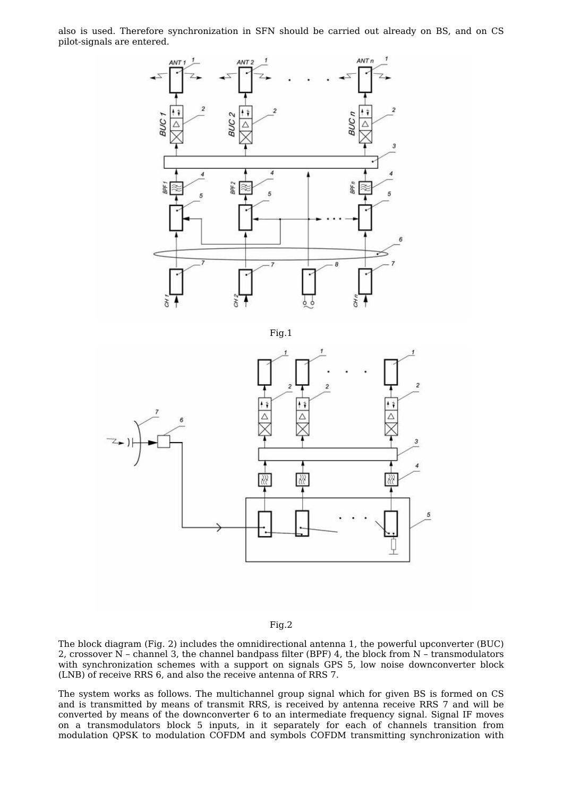also is used. Therefore synchronization in SFN should be carried out already on BS, and on CS pilot-signals are entered.



Fig.1



# Fig.2

The block diagram (Fig. 2) includes the omnidirectional antenna 1, the powerful upconverter (BUC) 2, crossover  $\breve{N}$  - channel 3, the channel bandpass filter (BPF) 4, the block from  $N$  - transmodulators with synchronization schemes with a support on signals GPS 5, low noise downconverter block (LNB) of receive RRS 6, and also the receive antenna of RRS 7.

The system works as follows. The multichannel group signal which for given BS is formed on CS and is transmitted by means of transmit RRS, is received by antenna receive RRS 7 and will be converted by means of the downconverter 6 to an intermediate frequency signal. Signal IF moves on a transmodulators block 5 inputs, in it separately for each of channels transition from modulation QPSK to modulation COFDM and symbols COFDM transmitting synchronization with